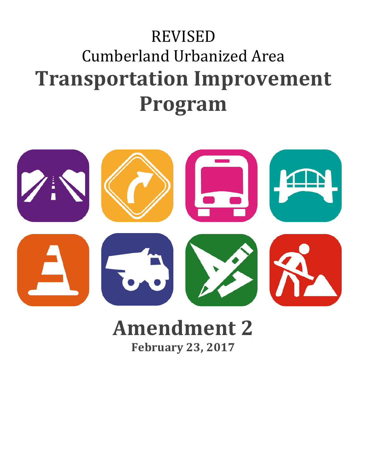# REVISED Cumberland Urbanized Area **Transportation Improvement Program**



# **Amendment 2 February 23, 2017**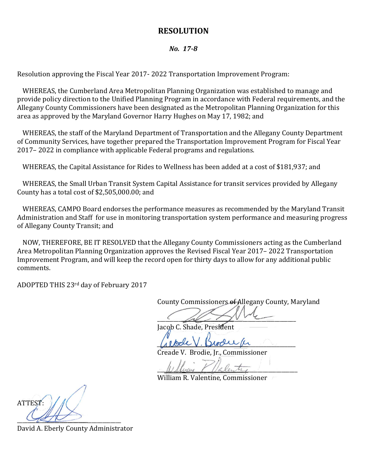#### **RESOLUTION**

#### *No. 17-8*

Resolution approving the Fiscal Year 2017- 2022 Transportation Improvement Program:

WHEREAS, the Cumberland Area Metropolitan Planning Organization was established to manage and provide policy direction to the Unified Planning Program in accordance with Federal requirements, and the Allegany County Commissioners have been designated as the Metropolitan Planning Organization for this area as approved by the Maryland Governor Harry Hughes on May 17, 1982; and

WHEREAS, the staff of the Maryland Department of Transportation and the Allegany County Department of Community Services, have together prepared the Transportation Improvement Program for Fiscal Year 2017– 2022 in compliance with applicable Federal programs and regulations.

WHEREAS, the Capital Assistance for Rides to Wellness has been added at a cost of \$181,937; and

WHEREAS, the Small Urban Transit System Capital Assistance for transit services provided by Allegany County has a total cost of \$2,505,000.00; and

WHEREAS, CAMPO Board endorses the performance measures as recommended by the Maryland Transit Administration and Staff for use in monitoring transportation system performance and measuring progress of Allegany County Transit; and

NOW, THEREFORE, BE IT RESOLVED that the Allegany County Commissioners acting as the Cumberland Area Metropolitan Planning Organization approves the Revised Fiscal Year 2017– 2022 Transportation Improvement Program, and will keep the record open for thirty days to allow for any additional public comments.

ADOPTED THIS 23rd day of February 2017

County Commissioners of Allegany County, Maryland

 $\sim$   $\mu$   $\sim$ 

Jacob C. Shade, President

*\_\_\_\_\_\_\_\_\_\_\_\_\_\_\_\_\_\_\_\_\_\_\_\_\_\_\_\_\_\_\_\_\_\_\_\_\_\_\_\_\_\_\_\_\_\_\_\_\_\_\_\_*

Creade V. Brodie, Jr., Commissioner

William / Valenting

William R. Valentine, Commissioner

ATTEST:  $\bigcup$ 

David A. Eberly County Administrator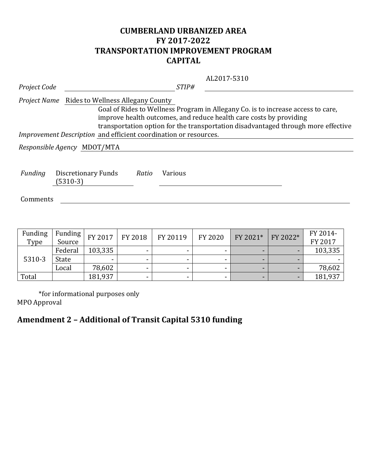## **CUMBERLAND URBANIZED AREA FY 2017-2022 TRANSPORTATION IMPROVEMENT PROGRAM CAPITAL**

| Project Code                                                                                                                                                                                                                                                                                                                                                             |                                   |       | STIP#   | AL2017-5310 |  |
|--------------------------------------------------------------------------------------------------------------------------------------------------------------------------------------------------------------------------------------------------------------------------------------------------------------------------------------------------------------------------|-----------------------------------|-------|---------|-------------|--|
| <i>Project Name</i> Rides to Wellness Allegany County<br>Goal of Rides to Wellness Program in Allegany Co. is to increase access to care,<br>improve health outcomes, and reduce health care costs by providing<br>transportation option for the transportation disadvantaged through more effective<br>Improvement Description and efficient coordination or resources. |                                   |       |         |             |  |
|                                                                                                                                                                                                                                                                                                                                                                          | Responsible Agency MDOT/MTA       |       |         |             |  |
| Funding                                                                                                                                                                                                                                                                                                                                                                  | Discretionary Funds<br>$(5310-3)$ | Ratio | Various |             |  |
| Comments                                                                                                                                                                                                                                                                                                                                                                 |                                   |       |         |             |  |

| Funding | Funding | FY 2017 | FY 2018                  | FY 20119 | FY 2020 | FY 2021*                 | FY 2022*                 | FY 2014- |
|---------|---------|---------|--------------------------|----------|---------|--------------------------|--------------------------|----------|
| Type    | Source  |         |                          |          |         |                          |                          | FY 2017  |
| 5310-3  | Federal | 103,335 |                          | -        |         | $\overline{\phantom{0}}$ | -                        | 103,335  |
|         | State   |         |                          | -        |         | $\overline{\phantom{0}}$ | -                        |          |
|         | Local   | 78,602  |                          |          |         |                          | -                        | 78,602   |
| Total   |         | 181,937 | $\overline{\phantom{a}}$ |          |         | $\overline{\phantom{a}}$ | $\overline{\phantom{a}}$ | 181,937  |

\*for informational purposes only MPO Approval

# **Amendment 2 – Additional of Transit Capital 5310 funding**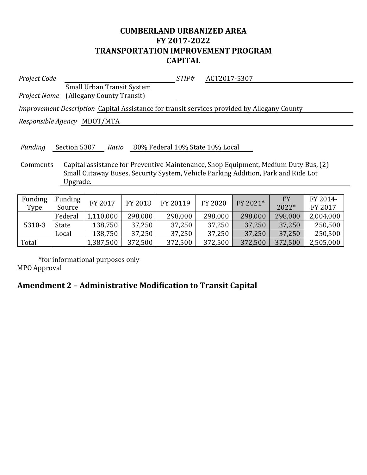#### **CUMBERLAND URBANIZED AREA FY 2017-2022 TRANSPORTATION IMPROVEMENT PROGRAM CAPITAL**

| Project Code | STIP#                                                                                              | ACT2017-5307                                                                        |
|--------------|----------------------------------------------------------------------------------------------------|-------------------------------------------------------------------------------------|
|              | <b>Small Urban Transit System</b>                                                                  |                                                                                     |
|              | <b>Project Name</b> (Allegany County Transit)                                                      |                                                                                     |
|              | <i>Improvement Description</i> Capital Assistance for transit services provided by Allegany County |                                                                                     |
|              | Responsible Agency MDOT/MTA                                                                        |                                                                                     |
|              |                                                                                                    |                                                                                     |
| Funding      | 80% Federal 10% State 10% Local<br>Section 5307<br>Ratio                                           |                                                                                     |
| Comments     | Small Cutaway Buses, Security System, Vehicle Parking Addition, Park and Ride Lot<br>Upgrade.      | Capital assistance for Preventive Maintenance, Shop Equipment, Medium Duty Bus, (2) |

Funding Type Funding Funding FY 2017 FY 2018 FY 20119 FY 2020 FY 2021\*  $\begin{array}{|c|c|c|c|c|}\hline \text{Fourier} & \text{FY} & \text{FY} & \text{FY} & \text{FY} & \text{FY} & \text{FY} & \text{FY} & \text{FY} & \text{FY} & \text{FY} & \text{FY} & \text{FY} & \text{FY} & \text{FY} & \text{FY} & \text{FY} & \text{FY} & \text{FY} & \text{FY} & \text{FY} & \text{F$ 2022\* FY 2014- FY 2017 5310-3 Federal 1,110,000 | 298,000 | 298,000 | 298,000 | 298,000 | 2,004,000 | 2,004,000 State | 138,750 | 37,250 | 37,250 | 37,250 | 37,250 | 250,500 Local | 138,750 | 37,250 | 37,250 | 37,250 | 37,250 | 250,500 Total 1,387,500 372,500 372,500 372,500 372,500 372,500 2,505,000

\*for informational purposes only MPO Approval

## **Amendment 2 – Administrative Modification to Transit Capital**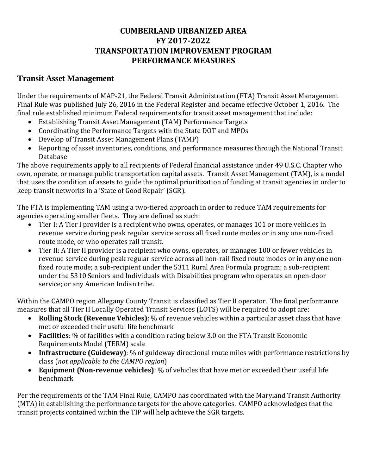### **CUMBERLAND URBANIZED AREA FY 2017-2022 TRANSPORTATION IMPROVEMENT PROGRAM PERFORMANCE MEASURES**

#### **Transit Asset Management**

Under the requirements of MAP-21, the Federal Transit Administration (FTA) Transit Asset Management Final Rule was published July 26, 2016 in the Federal Register and became effective October 1, 2016. The final rule established minimum Federal requirements for transit asset management that include:

- Establishing Transit Asset Management (TAM) Performance Targets
- Coordinating the Performance Targets with the State DOT and MPOs
- Develop of Transit Asset Management Plans (TAMP)
- Reporting of asset inventories, conditions, and performance measures through the National Transit Database

The above requirements apply to all recipients of Federal financial assistance under 49 U.S.C. Chapter who own, operate, or manage public transportation capital assets. Transit Asset Management (TAM), is a model that uses the condition of assets to guide the optimal prioritization of funding at transit agencies in order to keep transit networks in a 'State of Good Repair' (SGR).

The FTA is implementing TAM using a two-tiered approach in order to reduce TAM requirements for agencies operating smaller fleets. They are defined as such:

- Tier I: A Tier I provider is a recipient who owns, operates, or manages 101 or more vehicles in revenue service during peak regular service across all fixed route modes or in any one non-fixed route mode, or who operates rail transit.
- Tier II: A Tier II provider is a recipient who owns, operates, or manages 100 or fewer vehicles in revenue service during peak regular service across all non-rail fixed route modes or in any one nonfixed route mode; a sub-recipient under the 5311 Rural Area Formula program; a sub-recipient under the 5310 Seniors and Individuals with Disabilities program who operates an open-door service; or any American Indian tribe.

Within the CAMPO region Allegany County Transit is classified as Tier II operator. The final performance measures that all Tier II Locally Operated Transit Services (LOTS) will be required to adopt are:

- **Rolling Stock (Revenue Vehicles)**: % of revenue vehicles within a particular asset class that have met or exceeded their useful life benchmark
- **Facilities**: % of facilities with a condition rating below 3.0 on the FTA Transit Economic Requirements Model (TERM) scale
- **Infrastructure (Guideway)**: % of guideway directional route miles with performance restrictions by class (*not applicable to the CAMPO region*)
- **Equipment (Non-revenue vehicles)**: % of vehicles that have met or exceeded their useful life benchmark

Per the requirements of the TAM Final Rule, CAMPO has coordinated with the Maryland Transit Authority (MTA) in establishing the performance targets for the above categories. CAMPO acknowledges that the transit projects contained within the TIP will help achieve the SGR targets.